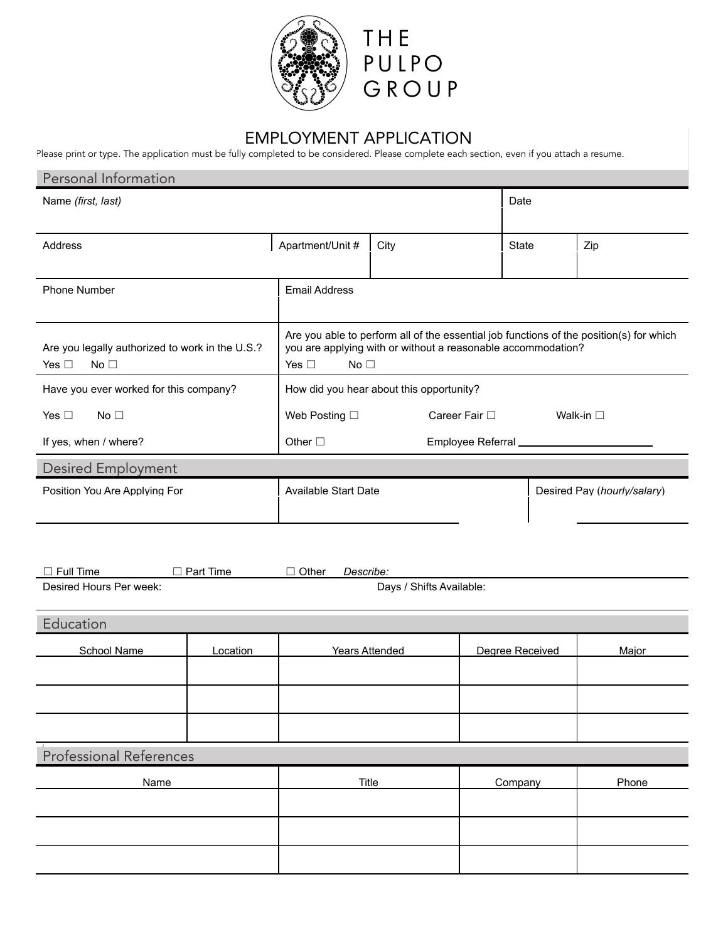



# EMPLOYMENT APPLICATION

Please print or type. The application must be fully completed to be considered. Please complete each section, even if you attach a resume.

| Personal Information                                                       |                                                                                            |      |                                   |                             |  |
|----------------------------------------------------------------------------|--------------------------------------------------------------------------------------------|------|-----------------------------------|-----------------------------|--|
| Name (first, last)                                                         |                                                                                            |      | Date                              |                             |  |
|                                                                            |                                                                                            |      |                                   |                             |  |
| Address                                                                    | Apartment/Unit #                                                                           | City | <b>State</b>                      | Zip                         |  |
|                                                                            |                                                                                            |      |                                   |                             |  |
| <b>Phone Number</b><br><b>Email Address</b>                                |                                                                                            |      |                                   |                             |  |
|                                                                            |                                                                                            |      |                                   |                             |  |
|                                                                            | Are you able to perform all of the essential job functions of the position(s) for which    |      |                                   |                             |  |
| Are you legally authorized to work in the U.S.?<br>Yes $\Box$<br>No $\Box$ | you are applying with or without a reasonable accommodation?<br>Yes $\Box$<br>No $\square$ |      |                                   |                             |  |
|                                                                            |                                                                                            |      |                                   |                             |  |
| Have you ever worked for this company?                                     | How did you hear about this opportunity?                                                   |      |                                   |                             |  |
| Yes $\Box$<br>No $\Box$                                                    | Web Posting $\square$<br>Career Fair $\square$                                             |      |                                   | Walk-in $\square$           |  |
| If yes, when / where?                                                      | Other $\square$                                                                            |      | Employee Referral _______________ |                             |  |
| <b>Desired Employment</b>                                                  |                                                                                            |      |                                   |                             |  |
| Position You Are Applying For                                              | <b>Available Start Date</b>                                                                |      |                                   | Desired Pay (hourly/salary) |  |
|                                                                            |                                                                                            |      |                                   |                             |  |

| $\Box$ Full Time        | Part Time | $\Box$ Other | <i>Describe:</i>         |
|-------------------------|-----------|--------------|--------------------------|
| Desired Hours Per week: |           |              | Days / Shifts Available: |

| Education               |          |                |                 |       |
|-------------------------|----------|----------------|-----------------|-------|
| School Name             | Location | Years Attended | Degree Received | Major |
|                         |          |                |                 |       |
|                         |          |                |                 |       |
|                         |          |                |                 |       |
|                         |          |                |                 |       |
| Professional References |          |                |                 |       |
| Name                    |          | Title          | Company         | Phone |
|                         |          |                |                 |       |
|                         |          |                |                 |       |
|                         |          |                |                 |       |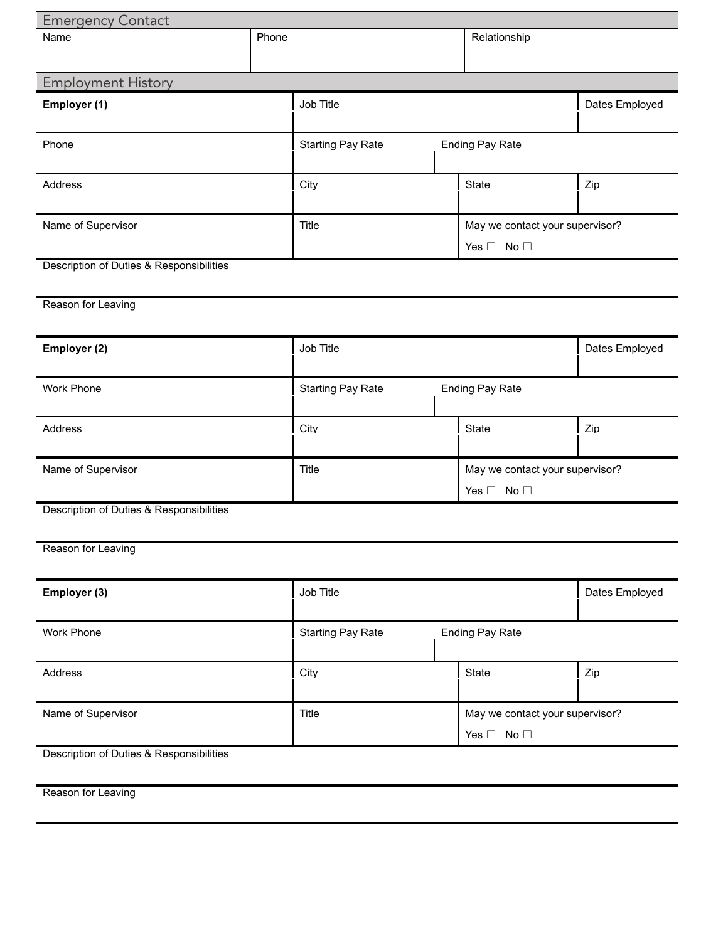| <b>Emergency Contact</b>                 |       |                          |  |                                 |                |  |
|------------------------------------------|-------|--------------------------|--|---------------------------------|----------------|--|
| Name                                     | Phone |                          |  | Relationship                    |                |  |
|                                          |       |                          |  |                                 |                |  |
| <b>Employment History</b>                |       |                          |  |                                 |                |  |
| Employer (1)                             |       | Job Title                |  |                                 | Dates Employed |  |
|                                          |       |                          |  |                                 |                |  |
| Phone                                    |       | <b>Starting Pay Rate</b> |  | <b>Ending Pay Rate</b>          |                |  |
|                                          |       |                          |  |                                 |                |  |
| Address                                  |       | City                     |  | State                           | Zip            |  |
|                                          |       |                          |  |                                 |                |  |
|                                          |       |                          |  |                                 |                |  |
| Name of Supervisor                       |       | Title                    |  | May we contact your supervisor? |                |  |
|                                          |       |                          |  | Yes $\Box$ No $\Box$            |                |  |
| Description of Duties & Responsibilities |       |                          |  |                                 |                |  |
|                                          |       |                          |  |                                 |                |  |
| Reason for Leaving                       |       |                          |  |                                 |                |  |
|                                          |       |                          |  |                                 |                |  |
| Employer (2)                             |       | Job Title                |  |                                 | Dates Employed |  |
|                                          |       |                          |  |                                 |                |  |
| Work Phone                               |       | <b>Starting Pay Rate</b> |  | <b>Ending Pay Rate</b>          |                |  |
|                                          |       |                          |  |                                 |                |  |
| Address                                  |       | City                     |  | State                           | Zip            |  |
|                                          |       |                          |  |                                 |                |  |
|                                          |       | Title                    |  | May we contact your supervisor? |                |  |
| Name of Supervisor                       |       |                          |  |                                 |                |  |
| Description of Duties & Responsibilities |       |                          |  | Yes $\Box$ No $\Box$            |                |  |
|                                          |       |                          |  |                                 |                |  |
|                                          |       |                          |  |                                 |                |  |
| Reason for Leaving                       |       |                          |  |                                 |                |  |
|                                          |       |                          |  |                                 |                |  |
| Employer (3)                             |       | Job Title                |  |                                 | Dates Employed |  |
|                                          |       |                          |  |                                 |                |  |
| Work Phone                               |       | <b>Starting Pay Rate</b> |  | <b>Ending Pay Rate</b>          |                |  |
|                                          |       |                          |  |                                 |                |  |
| Address                                  |       | City                     |  | State                           | Zip            |  |
|                                          |       |                          |  |                                 |                |  |
| Name of Supervisor                       |       | Title                    |  | May we contact your supervisor? |                |  |
|                                          |       |                          |  | Yes $\Box$ No $\Box$            |                |  |
| Description of Duties & Responsibilities |       |                          |  |                                 |                |  |
|                                          |       |                          |  |                                 |                |  |
| Reason for Leaving                       |       |                          |  |                                 |                |  |
|                                          |       |                          |  |                                 |                |  |
|                                          |       |                          |  |                                 |                |  |